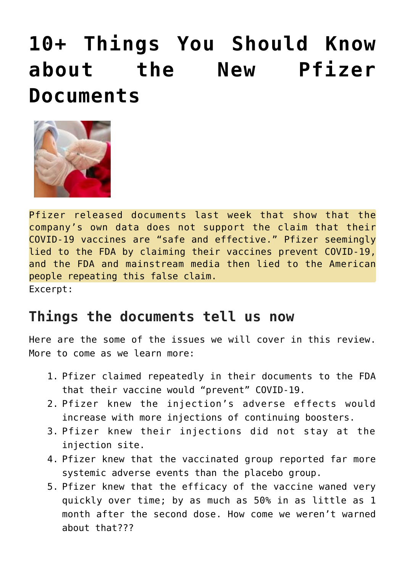## **[10+ Things You Should Know](https://needtoknow.news/2022/03/%ef%bf%bc10-things-you-should-know-about-the-new-pfizer-documents%ef%bf%bc/) [about the New Pfizer](https://needtoknow.news/2022/03/%ef%bf%bc10-things-you-should-know-about-the-new-pfizer-documents%ef%bf%bc/) [Documents](https://needtoknow.news/2022/03/%ef%bf%bc10-things-you-should-know-about-the-new-pfizer-documents%ef%bf%bc/)**



Pfizer released documents last week that show that the company's own data does not support the claim that their COVID-19 vaccines are "safe and effective." Pfizer seemingly lied to the FDA by claiming their vaccines prevent COVID-19, and the FDA and mainstream media then lied to the American people repeating this false claim. Excerpt:

## **Things the documents tell us now**

Here are the some of the issues we will cover in this review. More to come as we learn more:

- 1. Pfizer claimed repeatedly in their documents to the FDA that their vaccine would "prevent" COVID-19.
- 2. Pfizer knew the injection's adverse effects would increase with more injections of continuing boosters.
- 3. Pfizer knew their injections did not stay at the injection site.
- 4. Pfizer knew that the vaccinated group reported far more systemic adverse events than the placebo group.
- 5. Pfizer knew that the efficacy of the vaccine waned very quickly over time; by as much as 50% in as little as 1 month after the second dose. How come we weren't warned about that???